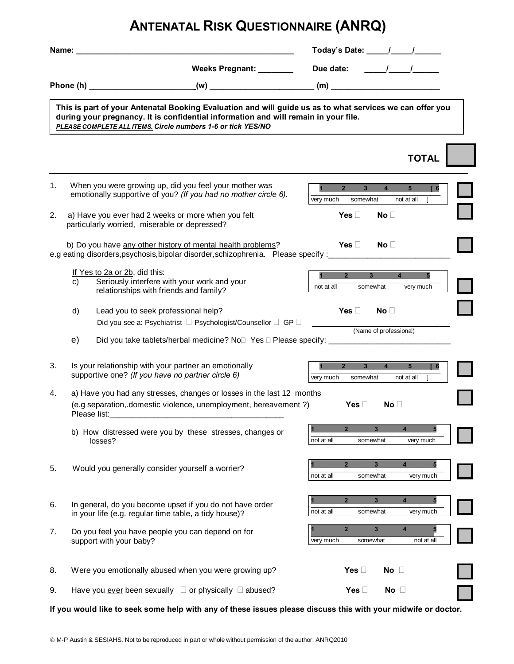## **ANTENATAL RISK QUESTIONNAIRE (ANRQ)**

| Name: |                                                                                                                                                                                                                                                                 |                         |                                                                                                                                                                                                                                                       | Today's Date: \[\squad \]    |                                     |                                                              |  |
|-------|-----------------------------------------------------------------------------------------------------------------------------------------------------------------------------------------------------------------------------------------------------------------|-------------------------|-------------------------------------------------------------------------------------------------------------------------------------------------------------------------------------------------------------------------------------------------------|------------------------------|-------------------------------------|--------------------------------------------------------------|--|
|       |                                                                                                                                                                                                                                                                 |                         | Weeks Pregnant: _______                                                                                                                                                                                                                               | Due date:                    |                                     | $\frac{1}{\sqrt{1-\frac{1}{2}}}$                             |  |
|       | Phone (h)                                                                                                                                                                                                                                                       |                         | $(w)$ and $(w)$ and $(w)$ and $(w)$ and $(w)$ and $(w)$ and $(w)$ and $(w)$ and $(w)$ and $(w)$ and $(w)$ and $(w)$ and $(w)$ and $(w)$ and $(w)$ and $(w)$ and $(w)$ and $(w)$ and $(w)$ and $(w)$ and $(w)$ and $(w)$ and $(w)$ and $(w)$ and $(w)$ |                              |                                     |                                                              |  |
|       | This is part of your Antenatal Booking Evaluation and will guide us as to what services we can offer you<br>during your pregnancy. It is confidential information and will remain in your file.<br>PLEASE COMPLETE ALL ITEMS. Circle numbers 1-6 or tick YES/NO |                         |                                                                                                                                                                                                                                                       |                              |                                     | <b>TOTAL</b>                                                 |  |
|       |                                                                                                                                                                                                                                                                 |                         |                                                                                                                                                                                                                                                       |                              |                                     |                                                              |  |
| 1.    | When you were growing up, did you feel your mother was<br>emotionally supportive of you? (If you had no mother circle 6).                                                                                                                                       |                         |                                                                                                                                                                                                                                                       | 2 <sup>2</sup><br>very much  | $\overline{3}$<br>4<br>somewhat     | 5 <sup>5</sup><br>$\sqrt{6}$<br>not at all                   |  |
| 2.    | a) Have you ever had 2 weeks or more when you felt<br>particularly worried, miserable or depressed?                                                                                                                                                             |                         |                                                                                                                                                                                                                                                       | <b>Yes</b>                   | <b>No</b>                           |                                                              |  |
|       | b) Do you have any other history of mental health problems?<br>e.g eating disorders, psychosis, bipolar disorder, schizophrenia. Please specify :_______                                                                                                        |                         |                                                                                                                                                                                                                                                       | <b>Yes</b>                   | <b>No</b>                           |                                                              |  |
|       | If Yes to 2a or 2b, did this:<br>Seriously interfere with your work and your<br>C)<br>relationships with friends and family?                                                                                                                                    |                         |                                                                                                                                                                                                                                                       | $2^{\circ}$<br>not at all    | $3^{\circ}$<br>somewhat             | $\overline{4}$<br>5<br>very much                             |  |
|       | d)<br>Lead you to seek professional help?<br>Did you see a: Psychiatrist                                                                                                                                                                                        | Psychologist/Counsellor | GP                                                                                                                                                                                                                                                    | <b>Yes</b>                   | <b>No</b><br>(Name of professional) |                                                              |  |
|       | Did you take tablets/herbal medicine? No Yes Please specify: ___________________<br>e)                                                                                                                                                                          |                         |                                                                                                                                                                                                                                                       |                              |                                     |                                                              |  |
| 3.    | Is your relationship with your partner an emotionally<br>supportive one? (If you have no partner circle 6)                                                                                                                                                      |                         |                                                                                                                                                                                                                                                       | $2^{\circ}$<br>very much     | 3 <sup>1</sup><br>somewhat          | 5 <sup>5</sup><br>$\overline{4}$<br>$\sqrt{6}$<br>not at all |  |
| 4.    | a) Have you had any stresses, changes or losses in the last 12 months<br>(e.g separation, domestic violence, unemployment, bereavement ?)<br>Please list:                                                                                                       |                         |                                                                                                                                                                                                                                                       | Yes                          | No                                  |                                                              |  |
|       | b) How distressed were you by these stresses, changes or<br>losses?                                                                                                                                                                                             |                         |                                                                                                                                                                                                                                                       | $\overline{2}$<br>not at all | 3<br>somewhat                       | 4<br>very much                                               |  |
| 5.    | Would you generally consider yourself a worrier?                                                                                                                                                                                                                |                         |                                                                                                                                                                                                                                                       | $\overline{2}$<br>not at all | $3\phantom{a}$<br>somewhat          | 4<br>5<br>very much                                          |  |
| 6.    | In general, do you become upset if you do not have order<br>in your life (e.g. regular time table, a tidy house)?                                                                                                                                               |                         |                                                                                                                                                                                                                                                       | $\overline{2}$<br>not at all | $\mathbf{3}$<br>somewhat            | 4<br>5<br>very much                                          |  |
| 7.    | Do you feel you have people you can depend on for<br>support with your baby?                                                                                                                                                                                    |                         |                                                                                                                                                                                                                                                       | $\overline{2}$<br>very much  | $\mathbf{3}$<br>somewhat            | 4<br>not at all                                              |  |
| 8.    | Were you emotionally abused when you were growing up?                                                                                                                                                                                                           |                         |                                                                                                                                                                                                                                                       | Yes                          | No                                  |                                                              |  |
| 9.    | Have you ever been sexually                                                                                                                                                                                                                                     | or physically           | abused?                                                                                                                                                                                                                                               | Yes                          | No                                  |                                                              |  |

**If you would like to seek some help with any of these issues please discuss this with your midwife or doctor.**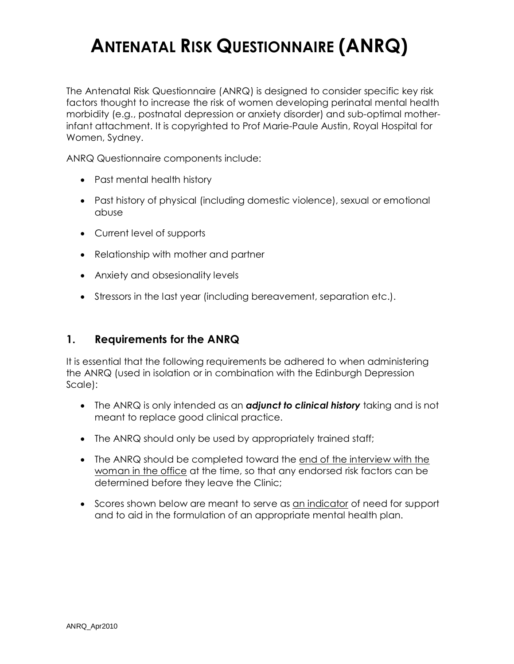# **ANTENATAL RISK QUESTIONNAIRE (ANRQ)**

The Antenatal Risk Questionnaire (ANRQ) is designed to consider specific key risk factors thought to increase the risk of women developing perinatal mental health morbidity (e.g., postnatal depression or anxiety disorder) and sub-optimal motherinfant attachment. It is copyrighted to Prof Marie-Paule Austin, Royal Hospital for Women, Sydney.

ANRQ Questionnaire components include:

- · Past mental health history
- · Past history of physical (including domestic violence), sexual or emotional abuse
- · Current level of supports
- Relationship with mother and partner
- · Anxiety and obsesionality levels
- · Stressors in the last year (including bereavement, separation etc.).

#### **1. Requirements for the ANRQ**

It is essential that the following requirements be adhered to when administering the ANRQ (used in isolation or in combination with the Edinburgh Depression Scale):

- · The ANRQ is only intended as an *adjunct to clinical history* taking and is not meant to replace good clinical practice.
- The ANRQ should only be used by appropriately trained staff;
- The ANRQ should be completed toward the end of the interview with the woman in the office at the time, so that any endorsed risk factors can be determined before they leave the Clinic;
- · Scores shown below are meant to serve as an indicator of need for support and to aid in the formulation of an appropriate mental health plan.